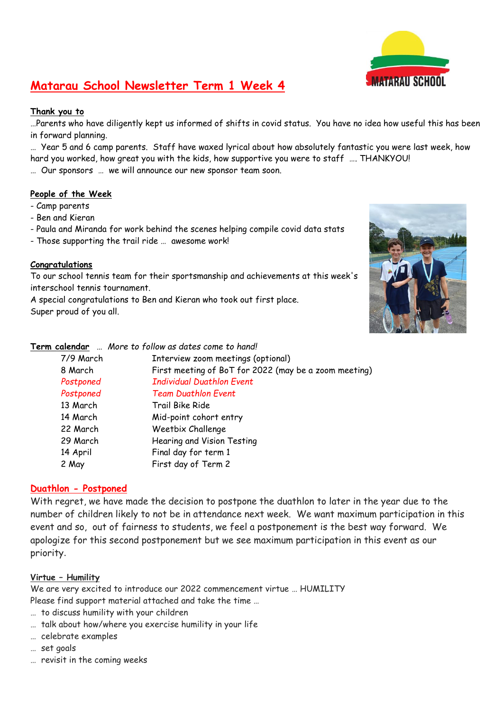

## **Matarau School Newsletter Term 1 Week 4**

### **Thank you to**

…Parents who have diligently kept us informed of shifts in covid status. You have no idea how useful this has been in forward planning.

… Year 5 and 6 camp parents. Staff have waxed lyrical about how absolutely fantastic you were last week, how hard you worked, how great you with the kids, how supportive you were to staff …. THANKYOU!

… Our sponsors … we will announce our new sponsor team soon.

### **People of the Week**

- Camp parents
- Ben and Kieran
- Paula and Miranda for work behind the scenes helping compile covid data stats
- Those supporting the trail ride … awesome work!

### **Congratulations**

To our school tennis team for their sportsmanship and achievements at this week's interschool tennis tournament.

A special congratulations to Ben and Kieran who took out first place. Super proud of you all.



**Term calendar** … *More to follow as dates come to hand!*

|           | <b>Calendar</b> <i>MOTE to Tonow</i> as outes come to hand: |
|-----------|-------------------------------------------------------------|
| 7/9 March | Interview zoom meetings (optional)                          |
| 8 March   | First meeting of BoT for 2022 (may be a zoom meeting)       |
| Postponed | <b>Individual Duathlon Event</b>                            |
| Postponed | <b>Team Duathlon Event</b>                                  |
| 13 March  | Trail Bike Ride                                             |
| 14 March  | Mid-point cohort entry                                      |
| 22 March  | Weetbix Challenge                                           |
| 29 March  | Hearing and Vision Testing                                  |
| 14 April  | Final day for term 1                                        |
| 2 May     | First day of Term 2                                         |
|           |                                                             |

### **Duathlon - Postponed**

With regret, we have made the decision to postpone the duathlon to later in the year due to the number of children likely to not be in attendance next week. We want maximum participation in this event and so, out of fairness to students, we feel a postponement is the best way forward. We apologize for this second postponement but we see maximum participation in this event as our priority.

### **Virtue – Humility**

We are very excited to introduce our 2022 commencement virtue … HUMILITY Please find support material attached and take the time …

- … to discuss humility with your children
- … talk about how/where you exercise humility in your life
- … celebrate examples
- … set goals
- … revisit in the coming weeks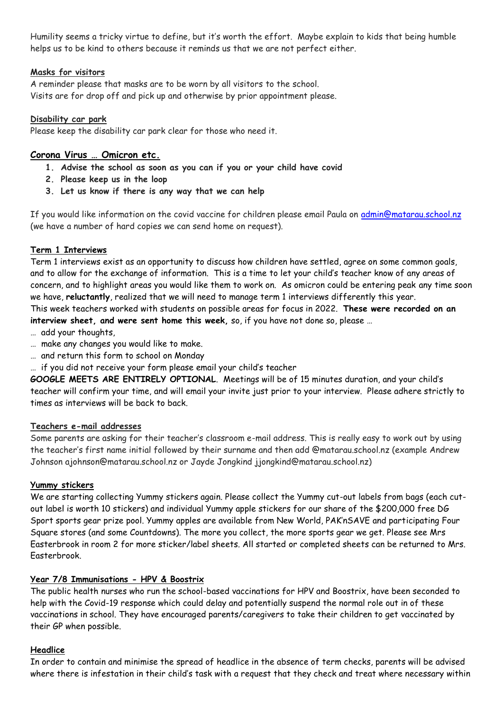Humility seems a tricky virtue to define, but it's worth the effort. Maybe explain to kids that being humble helps us to be kind to others because it reminds us that we are not perfect either.

### **Masks for visitors**

A reminder please that masks are to be worn by all visitors to the school. Visits are for drop off and pick up and otherwise by prior appointment please.

### **Disability car park**

Please keep the disability car park clear for those who need it.

### **Corona Virus … Omicron etc.**

- **1. Advise the school as soon as you can if you or your child have covid**
- **2. Please keep us in the loop**
- **3. Let us know if there is any way that we can help**

If you would like information on the covid vaccine for children please email Paula on [admin@matarau.school.nz](mailto:admin@matarau.school.nz) (we have a number of hard copies we can send home on request).

### **Term 1 Interviews**

Term 1 interviews exist as an opportunity to discuss how children have settled, agree on some common goals, and to allow for the exchange of information. This is a time to let your child's teacher know of any areas of concern, and to highlight areas you would like them to work on. As omicron could be entering peak any time soon we have, **reluctantly**, realized that we will need to manage term 1 interviews differently this year.

This week teachers worked with students on possible areas for focus in 2022. **These were recorded on an interview sheet, and were sent home this week,** so, if you have not done so, please …

- … add your thoughts,
- … make any changes you would like to make.
- … and return this form to school on Monday
- … if you did not receive your form please email your child's teacher

**GOOGLE MEETS ARE ENTIRELY OPTIONAL**. Meetings will be of 15 minutes duration, and your child's teacher will confirm your time, and will email your invite just prior to your interview. Please adhere strictly to times as interviews will be back to back.

### **Teachers e-mail addresses**

Some parents are asking for their teacher's classroom e-mail address. This is really easy to work out by using the teacher's first name initial followed by their surname and then add @matarau.school.nz (example Andrew Johnson ajohnson@matarau.school.nz or Jayde Jongkind jjongkind@matarau.school.nz)

### **Yummy stickers**

We are starting collecting Yummy stickers again. Please collect the Yummy cut-out labels from bags (each cutout label is worth 10 stickers) and individual Yummy apple stickers for our share of the \$200,000 free DG Sport sports gear prize pool. Yummy apples are available from New World, PAK'nSAVE and participating Four Square stores (and some Countdowns). The more you collect, the more sports gear we get. Please see Mrs Easterbrook in room 2 for more sticker/label sheets. All started or completed sheets can be returned to Mrs. Easterbrook.

### **Year 7/8 Immunisations - HPV & Boostrix**

The public health nurses who run the school-based vaccinations for HPV and Boostrix, have been seconded to help with the Covid-19 response which could delay and potentially suspend the normal role out in of these vaccinations in school. They have encouraged parents/caregivers to take their children to get vaccinated by their GP when possible.

### **Headlice**

In order to contain and minimise the spread of headlice in the absence of term checks, parents will be advised where there is infestation in their child's task with a request that they check and treat where necessary within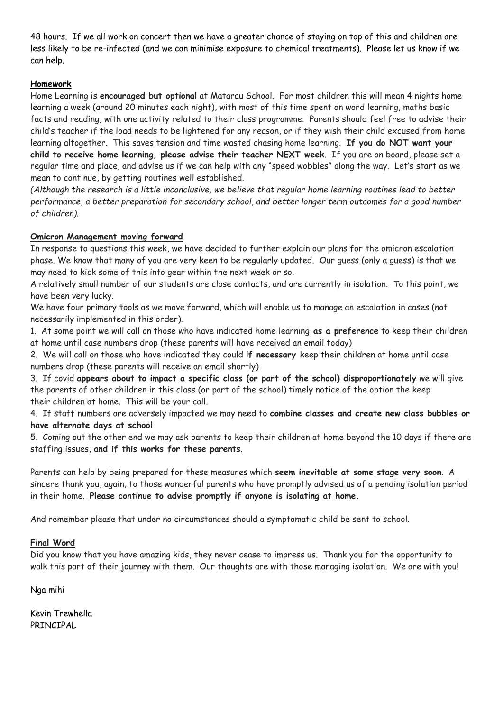48 hours. If we all work on concert then we have a greater chance of staying on top of this and children are less likely to be re-infected (and we can minimise exposure to chemical treatments). Please let us know if we can help.

### **Homework**

Home Learning is **encouraged but optional** at Matarau School. For most children this will mean 4 nights home learning a week (around 20 minutes each night), with most of this time spent on word learning, maths basic facts and reading, with one activity related to their class programme. Parents should feel free to advise their child's teacher if the load needs to be lightened for any reason, or if they wish their child excused from home learning altogether. This saves tension and time wasted chasing home learning. **If you do NOT want your child to receive home learning, please advise their teacher NEXT week**. If you are on board, please set a regular time and place, and advise us if we can help with any "speed wobbles" along the way. Let's start as we mean to continue, by getting routines well established.

*(Although the research is a little inconclusive, we believe that regular home learning routines lead to better performance, a better preparation for secondary school, and better longer term outcomes for a good number of children).*

### **Omicron Management moving forward**

In response to questions this week, we have decided to further explain our plans for the omicron escalation phase. We know that many of you are very keen to be regularly updated. Our guess (only a guess) is that we may need to kick some of this into gear within the next week or so.

A relatively small number of our students are close contacts, and are currently in isolation. To this point, we have been very lucky.

We have four primary tools as we move forward, which will enable us to manage an escalation in cases (not necessarily implemented in this order).

1. At some point we will call on those who have indicated home learning **as a preference** to keep their children at home until case numbers drop (these parents will have received an email today)

2. We will call on those who have indicated they could **if necessary** keep their children at home until case numbers drop (these parents will receive an email shortly)

3. If covid **appears about to impact a specific class (or part of the school) disproportionately** we will give the parents of other children in this class (or part of the school) timely notice of the option the keep their children at home. This will be your call.

4. If staff numbers are adversely impacted we may need to **combine classes and create new class bubbles or have alternate days at school**

5. Coming out the other end we may ask parents to keep their children at home beyond the 10 days if there are staffing issues, **and if this works for these parents**.

Parents can help by being prepared for these measures which **seem inevitable at some stage very soon**. A sincere thank you, again, to those wonderful parents who have promptly advised us of a pending isolation period in their home. **Please continue to advise promptly if anyone is isolating at home.**

And remember please that under no circumstances should a symptomatic child be sent to school.

### **Final Word**

Did you know that you have amazing kids, they never cease to impress us. Thank you for the opportunity to walk this part of their journey with them. Our thoughts are with those managing isolation. We are with you!

Nga mihi

Kevin Trewhella PRINCIPAL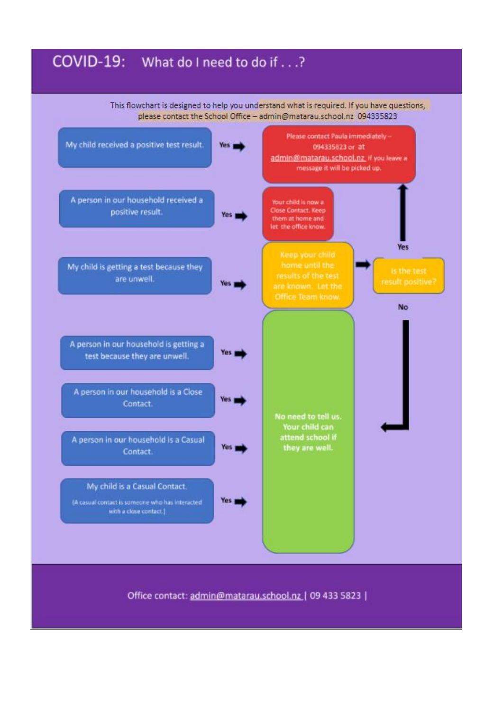## COVID-19: What do I need to do if . . .?

This flowchart is designed to help you understand what is required. If you have questions, please contact the School Office - admin@matarau.school.nz 094335823

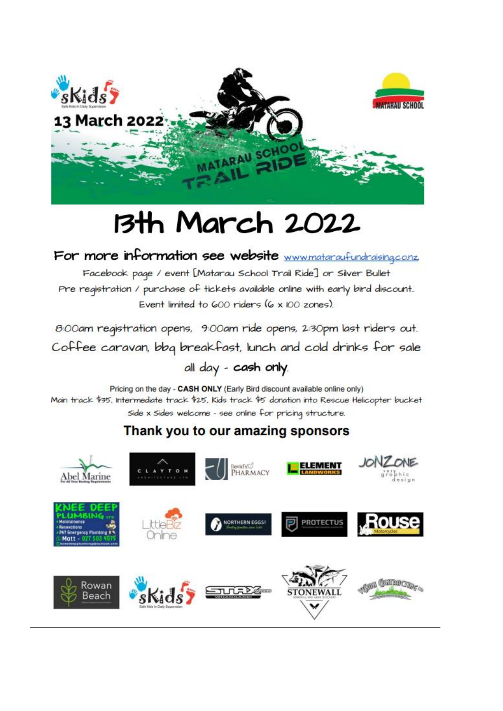

## **13th March 2022**

## For more information see website www.mataraufundraising.co.nz,

Facebook page / event [Matarau School Trail Ride] or Silver Bullet Pre registration / purchase of tickets available online with early bird discount. Event limited to 600 riders (6 x 100 zones).

8:00am registration opens, 9:00am ride opens, 2:30pm last riders out. Coffee caravan, bbg breakfast, lunch and cold drinks for sale

## all day - cash only.

Pricing on the day - CASH ONLY (Early Bird discount available online only) Main track \$35, Intermediate track \$25, Kids track \$5 donation into Rescue Helicopter bucket Side x Sides welcome - see online for pricing structure.

## Thank you to our amazing sponsors

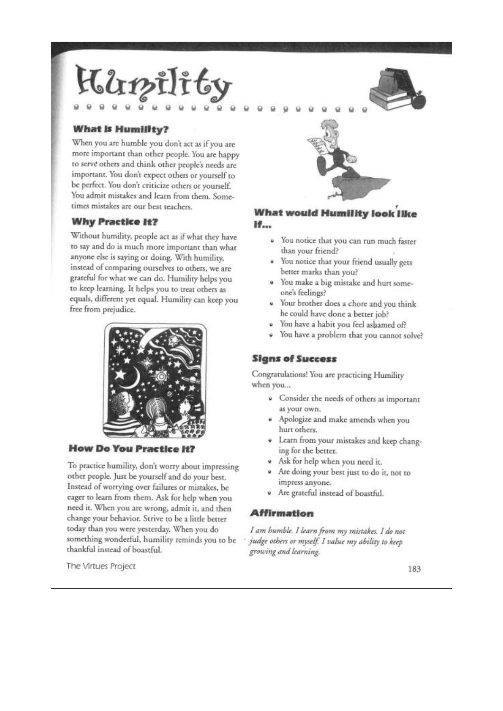# $2r$

### What is Humility?

When you are humble you don't act as if you are more important than other people. You are happy to serve others and think other people's needs are important. You don't expect others or yourself to be perfect. You don't criticize others or yourself. You admit mistakes and learn from them. Sometimes mistakes are our best teachers.

### **Why Practice It?**

Without humility, people act as if what they have to say and do is much more important than what anyone else is saying or doing. With humility, instead of comparing ourselves to others, we are grateful for what we can do. Humility helps you to keep learning. It helps you to treat others as equals, different yet equal. Humility can keep you free from prejudice.



### **How Do You Practice It?**

To practice humility, don't worry about impressing other people. Just be yourself and do your best. Instead of worrying over failures or mistakes, be eager to learn from them. Ask for help when you need it. When you are wrong, admit it, and then change your behavior. Strive to be a little better today than you were yesterday. When you do something wonderful, humility reminds you to be thankful instead of boastful.

### **What would Humility look like** H.,

- · You notice that you can run much faster than your friend?
- You notice that your friend usually gets better marks than you?
- You make a big mistake and hurt someone's feelings?
- Your brother does a chore and you think he could have done a better job?
- You have a habit you feel ashamed of?
- ù You have a problem that you cannot solve?

### **Signs of Success**

Congratulations! You are practicing Humility when you...

- Consider the needs of others as important  $\alpha$ as your own.
- Apologize and make amends when you hurt others.
- · Learn from your mistakes and keep changing for the better.
- · Ask for help when you need it.
- Are doing your best just to do it, not to impress anyone.
- Are grateful instead of boastful.

#### **Affirmation**

I am humble. I learn from my mistakes. I do not judge others or myself. I value my ability to keep growing and learning.

The Virtues Project